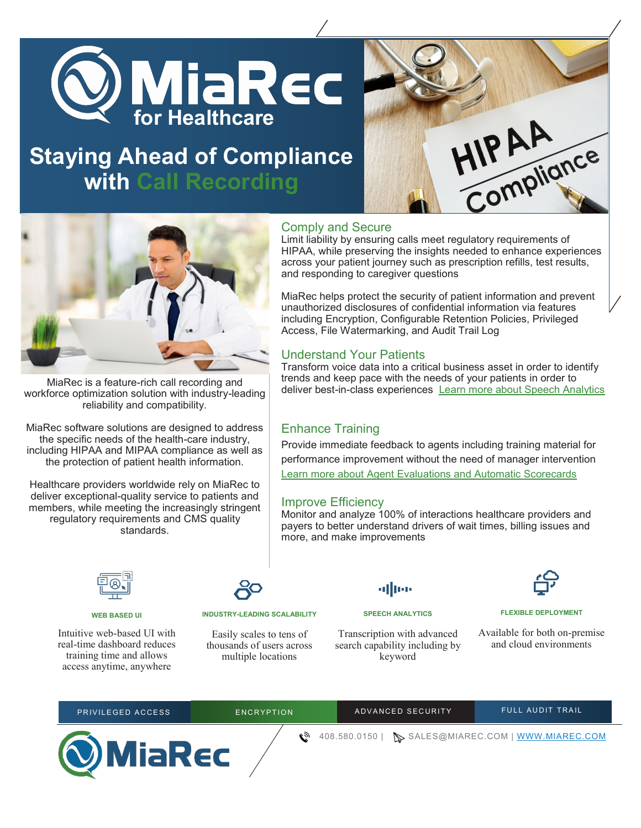

## **Staying Ahead of Compliance with Call Recording**





MiaRec is a feature-rich call recording and workforce optimization solution with industry-leading reliability and compatibility.

MiaRec software solutions are designed to address the specific needs of the health-care industry, including HIPAA and MIPAA compliance as well as the protection of patient health information.

Healthcare providers worldwide rely on MiaRec to deliver exceptional-quality service to patients and members, while meeting the increasingly stringent regulatory requirements and CMS quality standards.

#### **WEB BASED UI**

Intuitive web-based UI with real-time dashboard reduces training time and allows access anytime, anywhere



#### **INDUSTRY-LEADING SCALABILITY**

Easily scales to tens of thousands of users across multiple locations

Transcription with advanced search capability including by

**SPEECH ANALYTICS**

alltee

keyword



#### **FLEXIBLE DEPLOYMENT**

Available for both on-premise and cloud environments

| PRIVILEGED ACCESS | ENCRYPTION | ADVANCED SECURITY | <b>FULL AUDIT TRAIL</b>                          |
|-------------------|------------|-------------------|--------------------------------------------------|
| <b>OMiaRec</b>    |            |                   | 408.580.0150   SALES@MIAREC.COM   WWW.MIAREC.COM |

#### Comply and Secure

Limit liability by ensuring calls meet regulatory requirements of HIPAA, while preserving the insights needed to enhance experiences across your patient journey such as prescription refills, test results, and responding to caregiver questions

MiaRec helps protect the security of patient information and prevent unauthorized disclosures of confidential information via features including Encryption, Configurable Retention Policies, Privileged Access, File Watermarking, and Audit Trail Log

#### Understand Your Patients

Transform voice data into a critical business asset in order to identify trends and keep pace with the needs of your patients in order to deliver best-in-class experiences [Learn more about Speech Analytics](https://www.miarec.com/products/speech-analytics)

## Enhance Training

Provide immediate feedback to agents including training material for performance improvement without the need of manager intervention [Learn more about Agent Evaluations and Automatic Scorecards](https://www.miarec.com/products/quality-management)

#### Improve Efficiency

Monitor and analyze 100% of interactions healthcare providers and payers to better understand drivers of wait times, billing issues and more, and make improvements